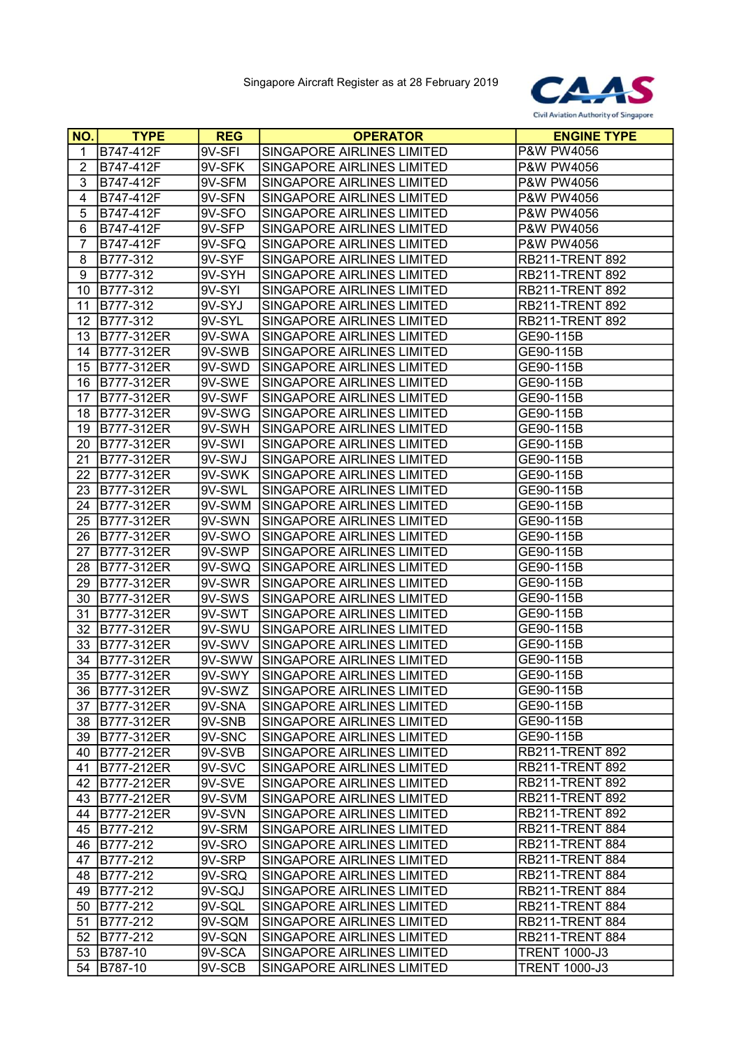

| NO.            | <b>TYPE</b>      | <b>REG</b> | <b>OPERATOR</b>            | <b>ENGINE TYPE</b>     |
|----------------|------------------|------------|----------------------------|------------------------|
| 1              | B747-412F        | 9V-SFI     | SINGAPORE AIRLINES LIMITED | P&W PW4056             |
| $\overline{2}$ | B747-412F        | 9V-SFK     | SINGAPORE AIRLINES LIMITED | P&W PW4056             |
| 3              | B747-412F        | 9V-SFM     | SINGAPORE AIRLINES LIMITED | P&W PW4056             |
| 4              | B747-412F        | 9V-SFN     | SINGAPORE AIRLINES LIMITED | P&W PW4056             |
| 5              | B747-412F        | 9V-SFO     | SINGAPORE AIRLINES LIMITED | P&W PW4056             |
| 6              | B747-412F        | 9V-SFP     | SINGAPORE AIRLINES LIMITED | P&W PW4056             |
| $\overline{7}$ | B747-412F        | 9V-SFQ     | SINGAPORE AIRLINES LIMITED | P&W PW4056             |
| 8              | B777-312         | 9V-SYF     | SINGAPORE AIRLINES LIMITED | <b>RB211-TRENT 892</b> |
| 9              | B777-312         | 9V-SYH     | SINGAPORE AIRLINES LIMITED | RB211-TRENT 892        |
| 10             | B777-312         | 9V-SYI     | SINGAPORE AIRLINES LIMITED | <b>RB211-TRENT 892</b> |
| 11             | B777-312         | 9V-SYJ     | SINGAPORE AIRLINES LIMITED | <b>RB211-TRENT 892</b> |
| 12             | B777-312         | 9V-SYL     | SINGAPORE AIRLINES LIMITED | <b>RB211-TRENT 892</b> |
| 13             | B777-312ER       | $9V-SWA$   | SINGAPORE AIRLINES LIMITED | GE90-115B              |
| 14             | B777-312ER       | 9V-SWB     | SINGAPORE AIRLINES LIMITED | GE90-115B              |
| 15             | B777-312ER       | 9V-SWD     | SINGAPORE AIRLINES LIMITED | GE90-115B              |
| 16             | B777-312ER       | 9V-SWE     | SINGAPORE AIRLINES LIMITED | GE90-115B              |
| 17             | B777-312ER       | 9V-SWF     | SINGAPORE AIRLINES LIMITED | GE90-115B              |
| 18             | B777-312ER       | 9V-SWG     | SINGAPORE AIRLINES LIMITED | GE90-115B              |
| 19             | B777-312ER       | 9V-SWH     | SINGAPORE AIRLINES LIMITED | GE90-115B              |
| 20             | B777-312ER       | 9V-SWI     | SINGAPORE AIRLINES LIMITED | GE90-115B              |
| 21             | B777-312ER       | 9V-SWJ     | SINGAPORE AIRLINES LIMITED | GE90-115B              |
| 22             | B777-312ER       | 9V-SWK     | SINGAPORE AIRLINES LIMITED | GE90-115B              |
| 23             | B777-312ER       | 9V-SWL     | SINGAPORE AIRLINES LIMITED | GE90-115B              |
| 24             | B777-312ER       | 9V-SWM     | SINGAPORE AIRLINES LIMITED | GE90-115B              |
| 25             | B777-312ER       | 9V-SWN     | SINGAPORE AIRLINES LIMITED | GE90-115B              |
| 26             | B777-312ER       | 9V-SWO     | SINGAPORE AIRLINES LIMITED | GE90-115B              |
| 27             | B777-312ER       | 9V-SWP     | SINGAPORE AIRLINES LIMITED | GE90-115B              |
| 28             | B777-312ER       | 9V-SWQ     | SINGAPORE AIRLINES LIMITED | GE90-115B              |
| 29             | B777-312ER       | 9V-SWR     | SINGAPORE AIRLINES LIMITED | GE90-115B              |
| 30             | B777-312ER       | 9V-SWS     | SINGAPORE AIRLINES LIMITED | GE90-115B              |
| 31             | B777-312ER       | 9V-SWT     | SINGAPORE AIRLINES LIMITED | GE90-115B              |
| 32             | B777-312ER       | 9V-SWU     | SINGAPORE AIRLINES LIMITED | GE90-115B              |
| 33             | B777-312ER       | 9V-SWV     | SINGAPORE AIRLINES LIMITED | GE90-115B              |
| 34             | B777-312ER       | 9V-SWW     | SINGAPORE AIRLINES LIMITED | GE90-115B              |
| 35             | B777-312ER       | 9V-SWY     | SINGAPORE AIRLINES LIMITED | GE90-115B              |
|                | 36   B777-312 ER | 9V-SWZ     | SINGAPORE AIRLINES LIMITED | GE90-115B              |
| 37             | B777-312ER       | 9V-SNA     | SINGAPORE AIRLINES LIMITED | GE90-115B              |
| 38             | B777-312ER       | 9V-SNB     | SINGAPORE AIRLINES LIMITED | GE90-115B              |
| 39             | B777-312ER       | 9V-SNC     | SINGAPORE AIRLINES LIMITED | GE90-115B              |
| 40             | B777-212ER       | 9V-SVB     | SINGAPORE AIRLINES LIMITED | <b>RB211-TRENT 892</b> |
| 41             | B777-212ER       | 9V-SVC     | SINGAPORE AIRLINES LIMITED | <b>RB211-TRENT 892</b> |
| 42             | B777-212ER       | 9V-SVE     | SINGAPORE AIRLINES LIMITED | <b>RB211-TRENT 892</b> |
| 43             | B777-212ER       | 9V-SVM     | SINGAPORE AIRLINES LIMITED | <b>RB211-TRENT 892</b> |
| 44             | B777-212ER       | 9V-SVN     | SINGAPORE AIRLINES LIMITED | <b>RB211-TRENT 892</b> |
| 45             | B777-212         | 9V-SRM     | SINGAPORE AIRLINES LIMITED | RB211-TRENT 884        |
| 46             | B777-212         | 9V-SRO     | SINGAPORE AIRLINES LIMITED | RB211-TRENT 884        |
| 47             | B777-212         | 9V-SRP     | SINGAPORE AIRLINES LIMITED | RB211-TRENT 884        |
| 48             | B777-212         | 9V-SRQ     | SINGAPORE AIRLINES LIMITED | RB211-TRENT 884        |
| 49             | B777-212         | 9V-SQJ     | SINGAPORE AIRLINES LIMITED | RB211-TRENT 884        |
| 50             | B777-212         | 9V-SQL     | SINGAPORE AIRLINES LIMITED | RB211-TRENT 884        |
| 51             | B777-212         | 9V-SQM     | SINGAPORE AIRLINES LIMITED | RB211-TRENT 884        |
| 52             | B777-212         | 9V-SQN     | SINGAPORE AIRLINES LIMITED | RB211-TRENT 884        |
| 53             | B787-10          | 9V-SCA     | SINGAPORE AIRLINES LIMITED | <b>TRENT 1000-J3</b>   |
| 54             | B787-10          | 9V-SCB     | SINGAPORE AIRLINES LIMITED | <b>TRENT 1000-J3</b>   |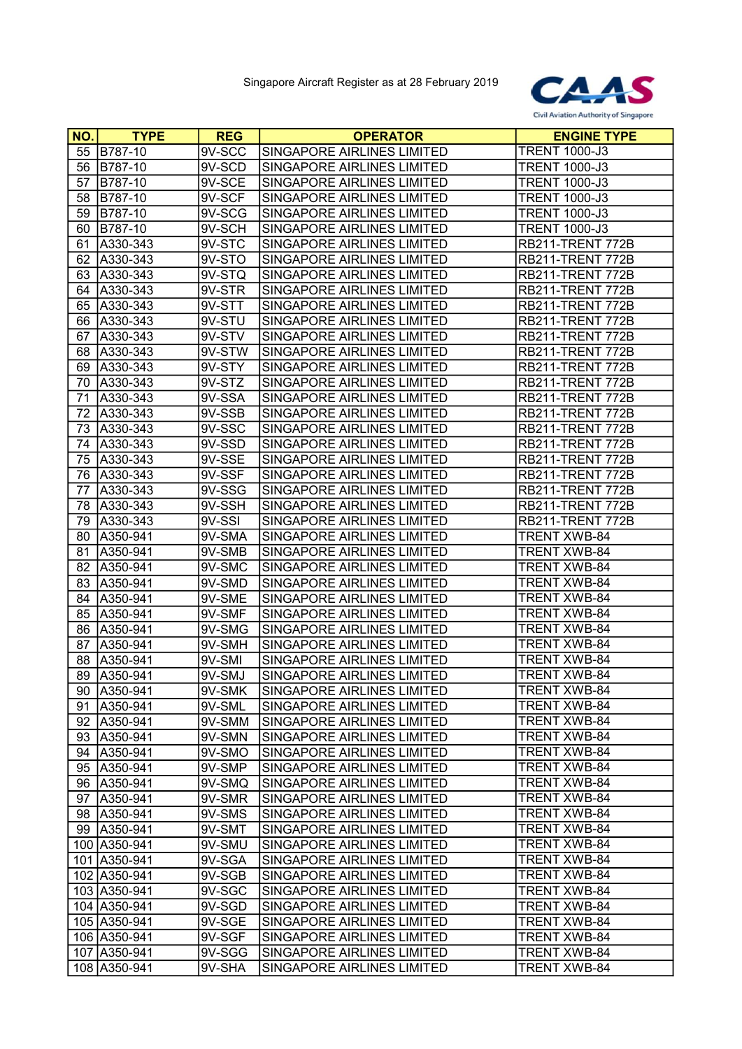

| NO. | <b>TYPE</b>    | <b>REG</b> | <b>OPERATOR</b>            | <b>ENGINE TYPE</b>   |
|-----|----------------|------------|----------------------------|----------------------|
| 55  | B787-10        | 9V-SCC     | SINGAPORE AIRLINES LIMITED | <b>TRENT 1000-J3</b> |
| 56  | <b>B787-10</b> | 9V-SCD     | SINGAPORE AIRLINES LIMITED | <b>TRENT 1000-J3</b> |
| 57  | B787-10        | 9V-SCE     | SINGAPORE AIRLINES LIMITED | <b>TRENT 1000-J3</b> |
| 58  | B787-10        | 9V-SCF     | SINGAPORE AIRLINES LIMITED | <b>TRENT 1000-J3</b> |
| 59  | B787-10        | 9V-SCG     | SINGAPORE AIRLINES LIMITED | <b>TRENT 1000-J3</b> |
| 60  | B787-10        | 9V-SCH     | SINGAPORE AIRLINES LIMITED | <b>TRENT 1000-J3</b> |
| 61  | A330-343       | 9V-STC     | SINGAPORE AIRLINES LIMITED | RB211-TRENT 772B     |
| 62  | A330-343       | 9V-STO     | SINGAPORE AIRLINES LIMITED | RB211-TRENT 772B     |
| 63  | A330-343       | 9V-STQ     | SINGAPORE AIRLINES LIMITED | RB211-TRENT 772B     |
| 64  | A330-343       | 9V-STR     | SINGAPORE AIRLINES LIMITED | RB211-TRENT 772B     |
| 65  | A330-343       | 9V-STT     | SINGAPORE AIRLINES LIMITED | RB211-TRENT 772B     |
| 66  | A330-343       | 9V-STU     | SINGAPORE AIRLINES LIMITED | RB211-TRENT 772B     |
| 67  | A330-343       | 9V-STV     | SINGAPORE AIRLINES LIMITED | RB211-TRENT 772B     |
| 68  | A330-343       | 9V-STW     | SINGAPORE AIRLINES LIMITED | RB211-TRENT 772B     |
| 69  | A330-343       | 9V-STY     | SINGAPORE AIRLINES LIMITED | RB211-TRENT 772B     |
| 70  | A330-343       | 9V-STZ     | SINGAPORE AIRLINES LIMITED | RB211-TRENT 772B     |
| 71  | A330-343       | 9V-SSA     | SINGAPORE AIRLINES LIMITED | RB211-TRENT 772B     |
| 72  | A330-343       | 9V-SSB     | SINGAPORE AIRLINES LIMITED | RB211-TRENT 772B     |
| 73  | A330-343       | 9V-SSC     | SINGAPORE AIRLINES LIMITED | RB211-TRENT 772B     |
| 74  | A330-343       | 9V-SSD     | SINGAPORE AIRLINES LIMITED | RB211-TRENT 772B     |
| 75  | A330-343       | 9V-SSE     | SINGAPORE AIRLINES LIMITED | RB211-TRENT 772B     |
| 76  | A330-343       | 9V-SSF     | SINGAPORE AIRLINES LIMITED | RB211-TRENT 772B     |
| 77  | A330-343       | 9V-SSG     | SINGAPORE AIRLINES LIMITED | RB211-TRENT 772B     |
| 78  | A330-343       | 9V-SSH     | SINGAPORE AIRLINES LIMITED | RB211-TRENT 772B     |
| 79  | A330-343       | 9V-SSI     | SINGAPORE AIRLINES LIMITED | RB211-TRENT 772B     |
| 80  | A350-941       | 9V-SMA     | SINGAPORE AIRLINES LIMITED | <b>TRENT XWB-84</b>  |
| 81  | A350-941       | 9V-SMB     | SINGAPORE AIRLINES LIMITED | <b>TRENT XWB-84</b>  |
| 82  | A350-941       | 9V-SMC     | SINGAPORE AIRLINES LIMITED | <b>TRENT XWB-84</b>  |
| 83  | A350-941       | 9V-SMD     | SINGAPORE AIRLINES LIMITED | <b>TRENT XWB-84</b>  |
| 84  | A350-941       | 9V-SME     | SINGAPORE AIRLINES LIMITED | <b>TRENT XWB-84</b>  |
| 85  | A350-941       | 9V-SMF     | SINGAPORE AIRLINES LIMITED | <b>TRENT XWB-84</b>  |
| 86  | A350-941       | 9V-SMG     | SINGAPORE AIRLINES LIMITED | <b>TRENT XWB-84</b>  |
| 87  | A350-941       | 9V-SMH     | SINGAPORE AIRLINES LIMITED | <b>TRENT XWB-84</b>  |
| 88  | A350-941       | 9V-SMI     | SINGAPORE AIRLINES LIMITED | <b>TRENT XWB-84</b>  |
| 89  | A350-941       | 9V-SMJ     | SINGAPORE AIRLINES LIMITED | <b>TRENT XWB-84</b>  |
|     | 90   A350-941  | 9V-SMK     | SINGAPORE AIRLINES LIMITED | TRENT XWB-84         |
| 91  | A350-941       | 9V-SML     | SINGAPORE AIRLINES LIMITED | <b>TRENT XWB-84</b>  |
| 92  | A350-941       | 9V-SMM     | SINGAPORE AIRLINES LIMITED | TRENT XWB-84         |
|     | 93 A350-941    | 9V-SMN     | SINGAPORE AIRLINES LIMITED | <b>TRENT XWB-84</b>  |
| 94  | A350-941       | 9V-SMO     | SINGAPORE AIRLINES LIMITED | <b>TRENT XWB-84</b>  |
|     | 95   A350-941  | 9V-SMP     | SINGAPORE AIRLINES LIMITED | <b>TRENT XWB-84</b>  |
| 96  | A350-941       | 9V-SMQ     | SINGAPORE AIRLINES LIMITED | <b>TRENT XWB-84</b>  |
| 97  | A350-941       | 9V-SMR     | SINGAPORE AIRLINES LIMITED | <b>TRENT XWB-84</b>  |
| 98  | A350-941       | 9V-SMS     | SINGAPORE AIRLINES LIMITED | <b>TRENT XWB-84</b>  |
| 99  | A350-941       | 9V-SMT     | SINGAPORE AIRLINES LIMITED | <b>TRENT XWB-84</b>  |
|     | 100 A350-941   | 9V-SMU     | SINGAPORE AIRLINES LIMITED | <b>TRENT XWB-84</b>  |
|     | 101 A350-941   | 9V-SGA     | SINGAPORE AIRLINES LIMITED | <b>TRENT XWB-84</b>  |
|     | 102 A350-941   | 9V-SGB     | SINGAPORE AIRLINES LIMITED | <b>TRENT XWB-84</b>  |
|     | 103 A350-941   | 9V-SGC     | SINGAPORE AIRLINES LIMITED | <b>TRENT XWB-84</b>  |
|     | 104 A350-941   | 9V-SGD     | SINGAPORE AIRLINES LIMITED | <b>TRENT XWB-84</b>  |
|     | 105 A350-941   | 9V-SGE     | SINGAPORE AIRLINES LIMITED | <b>TRENT XWB-84</b>  |
|     | 106 A350-941   | 9V-SGF     | SINGAPORE AIRLINES LIMITED | <b>TRENT XWB-84</b>  |
|     | 107 A350-941   | 9V-SGG     | SINGAPORE AIRLINES LIMITED | <b>TRENT XWB-84</b>  |
|     | 108 A350-941   | 9V-SHA     | SINGAPORE AIRLINES LIMITED | <b>TRENT XWB-84</b>  |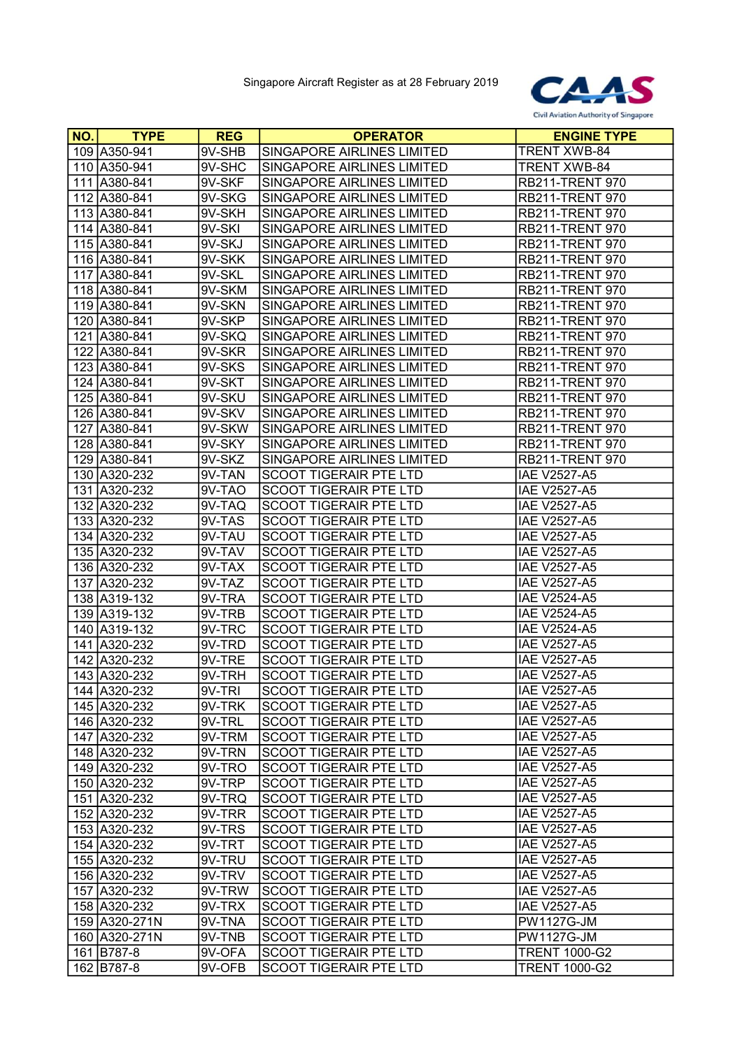

| NO. | <b>TYPE</b>   | <b>REG</b> | <b>OPERATOR</b>                   | <b>ENGINE TYPE</b>     |
|-----|---------------|------------|-----------------------------------|------------------------|
|     | 109 A350-941  | 9V-SHB     | SINGAPORE AIRLINES LIMITED        | <b>TRENT XWB-84</b>    |
|     | 110 A350-941  | 9V-SHC     | SINGAPORE AIRLINES LIMITED        | <b>TRENT XWB-84</b>    |
|     | 111 A380-841  | 9V-SKF     | SINGAPORE AIRLINES LIMITED        | <b>RB211-TRENT 970</b> |
|     | 112 A380-841  | 9V-SKG     | SINGAPORE AIRLINES LIMITED        | <b>RB211-TRENT 970</b> |
|     | 113 A380-841  | 9V-SKH     | SINGAPORE AIRLINES LIMITED        | <b>RB211-TRENT 970</b> |
|     | 114 A380-841  | 9V-SKI     | SINGAPORE AIRLINES LIMITED        | <b>RB211-TRENT 970</b> |
|     | 115 A380-841  | 9V-SKJ     | SINGAPORE AIRLINES LIMITED        | <b>RB211-TRENT 970</b> |
|     | 116 A380-841  | 9V-SKK     | <b>SINGAPORE AIRLINES LIMITED</b> | <b>RB211-TRENT 970</b> |
|     | 117 A380-841  | $9V-SKL$   | SINGAPORE AIRLINES LIMITED        | <b>RB211-TRENT 970</b> |
|     | 118 A380-841  | 9V-SKM     | SINGAPORE AIRLINES LIMITED        | <b>RB211-TRENT 970</b> |
|     | 119 A380-841  | 9V-SKN     | SINGAPORE AIRLINES LIMITED        | <b>RB211-TRENT 970</b> |
|     | 120 A380-841  | 9V-SKP     | SINGAPORE AIRLINES LIMITED        | <b>RB211-TRENT 970</b> |
|     | 121 A380-841  | 9V-SKQ     | SINGAPORE AIRLINES LIMITED        | <b>RB211-TRENT 970</b> |
|     | 122 A380-841  | 9V-SKR     | SINGAPORE AIRLINES LIMITED        | <b>RB211-TRENT 970</b> |
|     | 123 A380-841  | 9V-SKS     | SINGAPORE AIRLINES LIMITED        | <b>RB211-TRENT 970</b> |
|     | 124 A380-841  | 9V-SKT     | SINGAPORE AIRLINES LIMITED        | <b>RB211-TRENT 970</b> |
|     | 125 A380-841  | 9V-SKU     | SINGAPORE AIRLINES LIMITED        | <b>RB211-TRENT 970</b> |
|     | 126 A380-841  | 9V-SKV     | SINGAPORE AIRLINES LIMITED        | <b>RB211-TRENT 970</b> |
|     | 127 A380-841  | 9V-SKW     | SINGAPORE AIRLINES LIMITED        | <b>RB211-TRENT 970</b> |
|     | 128 A380-841  | 9V-SKY     | SINGAPORE AIRLINES LIMITED        | <b>RB211-TRENT 970</b> |
|     | 129 A380-841  | 9V-SKZ     | SINGAPORE AIRLINES LIMITED        | <b>RB211-TRENT 970</b> |
|     | 130 A320-232  | 9V-TAN     | <b>SCOOT TIGERAIR PTE LTD</b>     | <b>IAE V2527-A5</b>    |
|     | 131 A320-232  | 9V-TAO     | <b>SCOOT TIGERAIR PTE LTD</b>     | <b>IAE V2527-A5</b>    |
|     | 132 A320-232  | 9V-TAQ     | <b>SCOOT TIGERAIR PTE LTD</b>     | <b>IAE V2527-A5</b>    |
|     | 133 A320-232  | 9V-TAS     | <b>SCOOT TIGERAIR PTE LTD</b>     | <b>IAE V2527-A5</b>    |
|     | 134 A320-232  | 9V-TAU     | <b>SCOOT TIGERAIR PTE LTD</b>     | <b>IAE V2527-A5</b>    |
|     | 135 A320-232  | 9V-TAV     | <b>SCOOT TIGERAIR PTE LTD</b>     | <b>IAE V2527-A5</b>    |
|     | 136 A320-232  | 9V-TAX     | <b>SCOOT TIGERAIR PTE LTD</b>     | <b>IAE V2527-A5</b>    |
|     | 137 A320-232  | 9V-TAZ     | <b>SCOOT TIGERAIR PTE LTD</b>     | <b>IAE V2527-A5</b>    |
|     | 138 A319-132  | 9V-TRA     | <b>SCOOT TIGERAIR PTE LTD</b>     | <b>IAE V2524-A5</b>    |
|     | 139 A319-132  | 9V-TRB     | <b>SCOOT TIGERAIR PTE LTD</b>     | <b>IAE V2524-A5</b>    |
|     | 140 A319-132  | 9V-TRC     | <b>SCOOT TIGERAIR PTE LTD</b>     | <b>IAE V2524-A5</b>    |
|     | 141 A320-232  | 9V-TRD     | SCOOT TIGERAIR PTE LTD            | <b>IAE V2527-A5</b>    |
|     | 142 A320-232  | 9V-TRE     | <b>SCOOT TIGERAIR PTE LTD</b>     | <b>IAE V2527-A5</b>    |
|     | 143 A320-232  | 9V-TRH     | <b>SCOOT TIGERAIR PTE LTD</b>     | <b>IAE V2527-A5</b>    |
|     | 144 A320-232  | 9V-TRI     | SCOOT TIGERAIR PTE LTD            | <b>IAE V2527-A5</b>    |
|     | 145 A320-232  | 9V-TRK     | <b>SCOOT TIGERAIR PTE LTD</b>     | <b>IAE V2527-A5</b>    |
|     | 146 A320-232  | 9V-TRL     | <b>SCOOT TIGERAIR PTE LTD</b>     | <b>IAE V2527-A5</b>    |
|     | 147 A320-232  | 9V-TRM     | <b>SCOOT TIGERAIR PTE LTD</b>     | <b>IAE V2527-A5</b>    |
|     | 148 A320-232  | 9V-TRN     | <b>SCOOT TIGERAIR PTE LTD</b>     | <b>IAE V2527-A5</b>    |
|     | 149 A320-232  | 9V-TRO     | <b>SCOOT TIGERAIR PTE LTD</b>     | <b>IAE V2527-A5</b>    |
|     | 150 A320-232  | 9V-TRP     | <b>SCOOT TIGERAIR PTE LTD</b>     | <b>IAE V2527-A5</b>    |
|     | 151 A320-232  | 9V-TRQ     | <b>SCOOT TIGERAIR PTE LTD</b>     | <b>IAE V2527-A5</b>    |
|     | 152 A320-232  | 9V-TRR     | <b>SCOOT TIGERAIR PTE LTD</b>     | <b>IAE V2527-A5</b>    |
|     | 153 A320-232  | 9V-TRS     | <b>SCOOT TIGERAIR PTE LTD</b>     | <b>IAE V2527-A5</b>    |
|     | 154 A320-232  | 9V-TRT     | <b>SCOOT TIGERAIR PTE LTD</b>     | <b>IAE V2527-A5</b>    |
|     | 155 A320-232  | 9V-TRU     | <b>SCOOT TIGERAIR PTE LTD</b>     | <b>IAE V2527-A5</b>    |
|     | 156 A320-232  | 9V-TRV     | <b>SCOOT TIGERAIR PTE LTD</b>     | <b>IAE V2527-A5</b>    |
|     | 157 A320-232  | 9V-TRW     | <b>SCOOT TIGERAIR PTE LTD</b>     | <b>IAE V2527-A5</b>    |
|     | 158 A320-232  | 9V-TRX     | <b>SCOOT TIGERAIR PTE LTD</b>     | <b>IAE V2527-A5</b>    |
|     | 159 A320-271N | 9V-TNA     | <b>SCOOT TIGERAIR PTE LTD</b>     | <b>PW1127G-JM</b>      |
|     | 160 A320-271N | 9V-TNB     | <b>SCOOT TIGERAIR PTE LTD</b>     | <b>PW1127G-JM</b>      |
|     | 161 B787-8    | 9V-OFA     | SCOOT TIGERAIR PTE LTD            | <b>TRENT 1000-G2</b>   |
|     | 162 B787-8    | 9V-OFB     | SCOOT TIGERAIR PTE LTD            | <b>TRENT 1000-G2</b>   |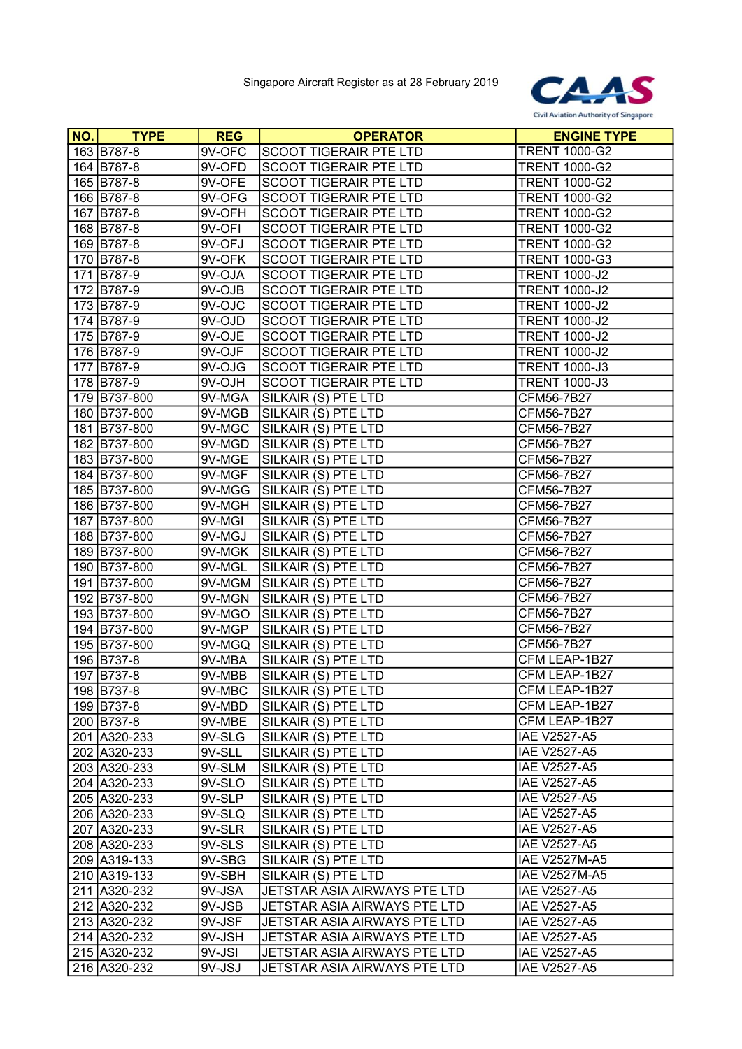

| NO. | <b>TYPE</b>  | <b>REG</b> | <b>OPERATOR</b>               | <b>ENGINE TYPE</b>   |
|-----|--------------|------------|-------------------------------|----------------------|
|     | 163 B787-8   | 9V-OFC     | SCOOT TIGERAIR PTE LTD        | <b>TRENT 1000-G2</b> |
|     | 164 B787-8   | 9V-OFD     | <b>SCOOT TIGERAIR PTE LTD</b> | <b>TRENT 1000-G2</b> |
|     | 165 B787-8   | 9V-OFE     | <b>SCOOT TIGERAIR PTE LTD</b> | <b>TRENT 1000-G2</b> |
|     | 166 B787-8   | 9V-OFG     | <b>SCOOT TIGERAIR PTE LTD</b> | <b>TRENT 1000-G2</b> |
|     | 167 B787-8   | 9V-OFH     | <b>SCOOT TIGERAIR PTE LTD</b> | <b>TRENT 1000-G2</b> |
|     | 168 B787-8   | 9V-OFI     | SCOOT TIGERAIR PTE LTD        | <b>TRENT 1000-G2</b> |
|     | 169 B787-8   | 9V-OFJ     | <b>SCOOT TIGERAIR PTE LTD</b> | <b>TRENT 1000-G2</b> |
|     | 170 B787-8   | 9V-OFK     | <b>SCOOT TIGERAIR PTE LTD</b> | <b>TRENT 1000-G3</b> |
|     | 171 B787-9   | 9V-OJA     | <b>SCOOT TIGERAIR PTE LTD</b> | <b>TRENT 1000-J2</b> |
|     | 172 B787-9   | 9V-OJB     | <b>SCOOT TIGERAIR PTE LTD</b> | <b>TRENT 1000-J2</b> |
|     | 173 B787-9   | 9V-OJC     | <b>SCOOT TIGERAIR PTE LTD</b> | <b>TRENT 1000-J2</b> |
|     | 174 B787-9   | $9V-OJD$   | SCOOT TIGERAIR PTE LTD        | <b>TRENT 1000-J2</b> |
|     | 175 B787-9   | 9V-OJE     | SCOOT TIGERAIR PTE LTD        | <b>TRENT 1000-J2</b> |
|     | 176 B787-9   | 9V-OJF     | <b>SCOOT TIGERAIR PTE LTD</b> | <b>TRENT 1000-J2</b> |
|     | 177 B787-9   | 9V-OJG     | SCOOT TIGERAIR PTE LTD        | <b>TRENT 1000-J3</b> |
|     | 178 B787-9   | 9V-OJH     | <b>SCOOT TIGERAIR PTE LTD</b> | <b>TRENT 1000-J3</b> |
|     | 179 B737-800 | 9V-MGA     | SILKAIR (S) PTE LTD           | CFM56-7B27           |
|     | 180 B737-800 | 9V-MGB     | SILKAIR (S) PTE LTD           | CFM56-7B27           |
|     | 181 B737-800 | 9V-MGC     | SILKAIR (S) PTE LTD           | CFM56-7B27           |
|     | 182 B737-800 | 9V-MGD     | SILKAIR (S) PTE LTD           | CFM56-7B27           |
|     | 183 B737-800 | 9V-MGE     | SILKAIR (S) PTE LTD           | CFM56-7B27           |
|     | 184 B737-800 | 9V-MGF     | SILKAIR (S) PTE LTD           | CFM56-7B27           |
|     | 185 B737-800 | 9V-MGG     | SILKAIR (S) PTE LTD           | CFM56-7B27           |
|     | 186 B737-800 | 9V-MGH     | SILKAIR (S) PTE LTD           | CFM56-7B27           |
|     | 187 B737-800 | 9V-MGI     | SILKAIR (S) PTE LTD           | CFM56-7B27           |
|     | 188 B737-800 | 9V-MGJ     | SILKAIR (S) PTE LTD           | CFM56-7B27           |
|     | 189 B737-800 | 9V-MGK     | SILKAIR (S) PTE LTD           | CFM56-7B27           |
|     | 190 B737-800 | 9V-MGL     | SILKAIR (S) PTE LTD           | CFM56-7B27           |
| 191 | B737-800     | 9V-MGM     | SILKAIR (S) PTE LTD           | CFM56-7B27           |
|     | 192 B737-800 | 9V-MGN     | SILKAIR (S) PTE LTD           | CFM56-7B27           |
|     | 193 B737-800 | 9V-MGO     | SILKAIR (S) PTE LTD           | CFM56-7B27           |
|     | 194 B737-800 | 9V-MGP     | SILKAIR (S) PTE LTD           | CFM56-7B27           |
|     | 195 B737-800 | 9V-MGQ     | SILKAIR (S) PTE LTD           | CFM56-7B27           |
|     | 196 B737-8   | 9V-MBA     | SILKAIR (S) PTE LTD           | CFM LEAP-1B27        |
|     | 197 B737-8   | 9V-MBB     | SILKAIR (S) PTE LTD           | CFM LEAP-1B27        |
|     | 198 B737-8   | 9V-MBC     | SILKAIR (S) PTE LTD           | CFM LEAP-1B27        |
|     | 199 B737-8   | 9V-MBD     | SILKAIR (S) PTE LTD           | CFM LEAP-1B27        |
|     | 200 B737-8   | 9V-MBE     | SILKAIR (S) PTE LTD           | CFM LEAP-1B27        |
|     | 201 A320-233 | 9V-SLG     | SILKAIR (S) PTE LTD           | <b>IAE V2527-A5</b>  |
|     | 202 A320-233 | 9V-SLL     | SILKAIR (S) PTE LTD           | <b>IAE V2527-A5</b>  |
|     | 203 A320-233 | 9V-SLM     | SILKAIR (S) PTE LTD           | <b>IAE V2527-A5</b>  |
|     | 204 A320-233 | 9V-SLO     | SILKAIR (S) PTE LTD           | IAE V2527-A5         |
|     | 205 A320-233 | 9V-SLP     | SILKAIR (S) PTE LTD           | <b>IAE V2527-A5</b>  |
|     | 206 A320-233 | 9V-SLQ     | SILKAIR (S) PTE LTD           | IAE V2527-A5         |
|     | 207 A320-233 | $9V-SLR$   | SILKAIR (S) PTE LTD           | IAE V2527-A5         |
|     | 208 A320-233 | 9V-SLS     | SILKAIR (S) PTE LTD           | <b>IAE V2527-A5</b>  |
|     | 209 A319-133 | 9V-SBG     | SILKAIR (S) PTE LTD           | <b>IAE V2527M-A5</b> |
|     | 210 A319-133 | 9V-SBH     | SILKAIR (S) PTE LTD           | <b>IAE V2527M-A5</b> |
|     | 211 A320-232 | 9V-JSA     | JETSTAR ASIA AIRWAYS PTE LTD  | <b>IAE V2527-A5</b>  |
|     | 212 A320-232 | 9V-JSB     | JETSTAR ASIA AIRWAYS PTE LTD  | IAE V2527-A5         |
|     | 213 A320-232 | 9V-JSF     | JETSTAR ASIA AIRWAYS PTE LTD  | <b>IAE V2527-A5</b>  |
|     | 214 A320-232 | 9V-JSH     | JETSTAR ASIA AIRWAYS PTE LTD  | <b>IAE V2527-A5</b>  |
|     | 215 A320-232 | 9V-JSI     | JETSTAR ASIA AIRWAYS PTE LTD  | IAE V2527-A5         |
|     | 216 A320-232 | 9V-JSJ     | JETSTAR ASIA AIRWAYS PTE LTD  | IAE V2527-A5         |